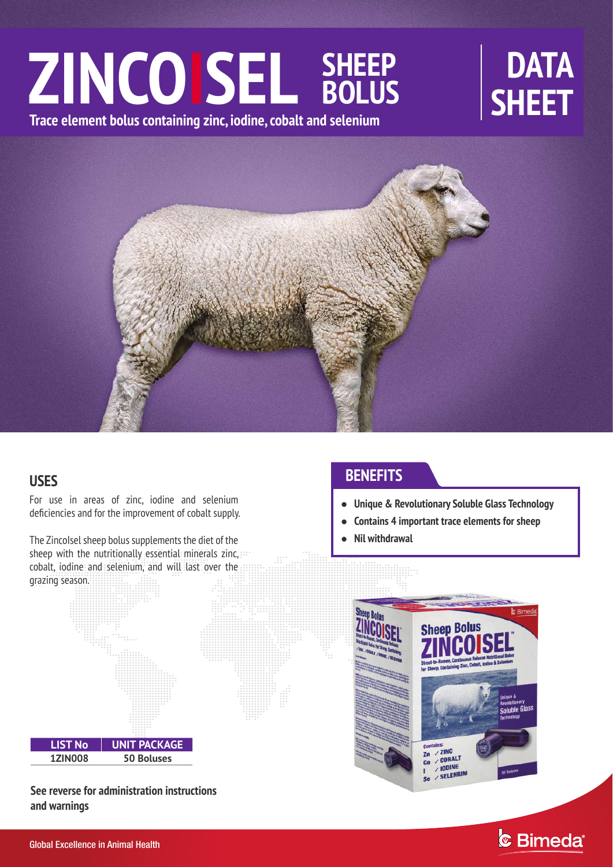# ZINCOISEL SHEEP DATA **SHEET Trace element bolus containing zinc, iodine, cobalt and selenium SHEEP BOLUS**



## **USES**

For use in areas of zinc, iodine and selenium deficiencies and for the improvement of cobalt supply.

The ZincoIsel sheep bolus supplements the diet of the sheep with the nutritionally essential minerals zinc,  $\cdots$ cobalt, iodine and selenium, and will last over the grazing season.

# **LIST No UNIT PACKAGE 1ZIN008 50 Boluses**

**See reverse for administration instructions and warnings**

# **BENEFITS**

- **Unique & Revolutionary Soluble Glass Technology**
- $\bullet$ **Contains 4 important trace elements for sheep**
- $\bullet$ **Nil withdrawal**